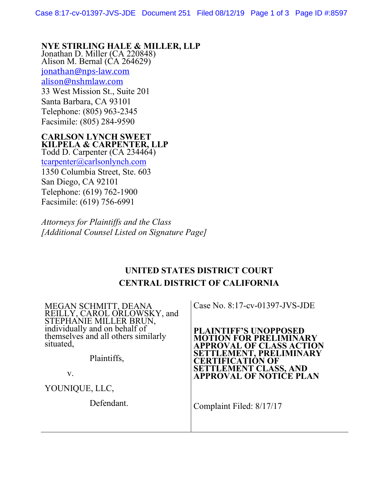# **NYE STIRLING HALE & MILLER, LLP** Jonathan D. Miller (CA 220848)

Alison M. Bernal  $(\hat{C}A 264629)$ [jonathan@nps-law.com](mailto:jonathan@nps-law.com) [alison@nshmlaw.com](mailto:alison@nshmlaw.com) 33 West Mission St., Suite 201 Santa Barbara, CA 93101 Telephone: (805) 963-2345 Facsimile: (805) 284-9590

#### **CARLSON LYNCH SWEET KILPELA & CARPENTER, LLP**  Todd D. Carpenter (CA 234464)

[tcarpenter@carlsonlynch.com](mailto:tcarpenter@carlsonlynch.com) 1350 Columbia Street, Ste. 603 San Diego, CA 92101 Telephone: (619) 762-1900 Facsimile: (619) 756-6991

*Attorneys for Plaintiffs and the Class [Additional Counsel Listed on Signature Page]*

# **UNITED STATES DISTRICT COURT CENTRAL DISTRICT OF CALIFORNIA**

MEGAN SCHMITT, DEANA REILLY, CAROL ORLOWSKY, and STEPHANIE MILLER BRUN, individually and on behalf of themselves and all others similarly situated,

Plaintiffs,

v.

YOUNIQUE, LLC,

Defendant.

Case No. 8:17-cv-01397-JVS-JDE

**PLAINTIFF'S UNOPPOSED MOTION FOR PRELIMINARY APPROVAL OF CLASS ACTION SETTLEMENT, PRELIMINARY CERTIFICATION OF SETTLEMENT CLASS, AND APPROVAL OF NOTICE PLAN** 

Complaint Filed: 8/17/17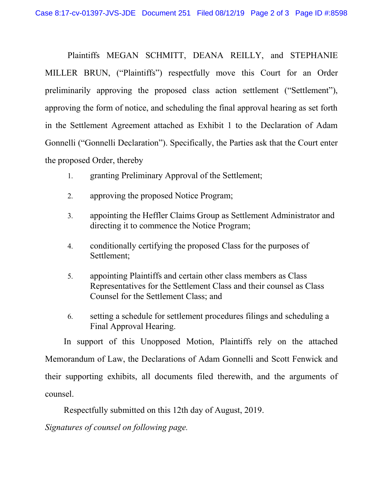Plaintiffs MEGAN SCHMITT, DEANA REILLY, and STEPHANIE MILLER BRUN, ("Plaintiffs") respectfully move this Court for an Order preliminarily approving the proposed class action settlement ("Settlement"), approving the form of notice, and scheduling the final approval hearing as set forth in the Settlement Agreement attached as Exhibit 1 to the Declaration of Adam Gonnelli ("Gonnelli Declaration"). Specifically, the Parties ask that the Court enter the proposed Order, thereby

- 1. granting Preliminary Approval of the Settlement;
- 2. approving the proposed Notice Program;
- 3. appointing the Heffler Claims Group as Settlement Administrator and directing it to commence the Notice Program;
- 4. conditionally certifying the proposed Class for the purposes of Settlement;
- 5. appointing Plaintiffs and certain other class members as Class Representatives for the Settlement Class and their counsel as Class Counsel for the Settlement Class; and
- 6. setting a schedule for settlement procedures filings and scheduling a Final Approval Hearing.

In support of this Unopposed Motion, Plaintiffs rely on the attached Memorandum of Law, the Declarations of Adam Gonnelli and Scott Fenwick and their supporting exhibits, all documents filed therewith, and the arguments of counsel.

Respectfully submitted on this 12th day of August, 2019.

*Signatures of counsel on following page.*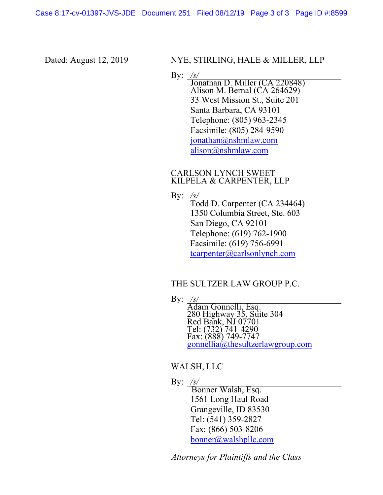Dated: August 12, 2019 NYE, STIRLING, HALE & MILLER, LLP

By: */s/*<br>Jonathan D. Miller (CA 220848) Alison M. Bernal  $(\hat{C}A 264629)$ 33 West Mission St., Suite 201 Santa Barbara, CA 93101 Telephone: (805) 963-2345 Facsimile: (805) 284-9590 [jonathan@nshmlaw.com](mailto:jonathan@nshmlaw.com) [alison@nshmlaw.com](mailto:alison@nshmlaw.com)

### CARLSON LYNCH SWEET KILPELA & CARPENTER, LLP

By: */s/*

Todd D. Carpenter (CA 234464) 1350 Columbia Street, Ste. 603 San Diego, CA 92101 Telephone: (619) 762-1900 Facsimile: (619) 756-6991 [tcarpenter@carlsonlynch.com](mailto:tcarpenter@carlsonlynch.com)

### THE SULTZER LAW GROUP P.C.

By: */s/*

Adam Gonnelli, Esq. 280 Highway 35, Suite 304 Red Bank, NJ 07701 Tel: (732) 741-4290 Fax: (888) 749-7747 [gonnellia@thesultzerlawgroup.com](mailto:gonnellia@thesultzerlawgroup.com)

# WALSH, LLC

By: */s/*

 Bonner Walsh, Esq. 1561 Long Haul Road Grangeville, ID 83530 Tel: (541) 359-2827 Fax: (866) 503-8206 [bonner@walshpllc.com](mailto:bonner@walshpllc.com)

*Attorneys for Plaintiffs and the Class*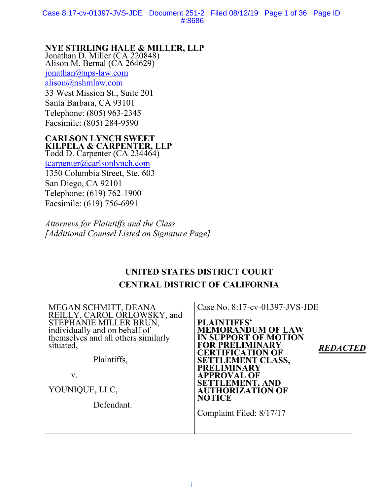Case 8:17-cv-01397-JVS-JDE Document 251-2 Filed 08/12/19 Page 1 of 36 Page ID #:8686

# **NYE STIRLING HALE & MILLER, LLP** Jonathan D. Miller (CA 220848)

Alison M. Bernal  $(\hat{C}A 264629)$  $jonathan@nps-law.com$ [alison@nshmlaw.com](mailto:alison@nshmlaw.com) 33 West Mission St., Suite 201 Santa Barbara, CA 93101 Telephone: (805) 963-2345 Facsimile: (805) 284-9590

### **CARLSON LYNCH SWEET KILPELA & CARPENTER, LLP**

Todd D. Carpenter (CA 234464) [tcarpenter@carlsonlynch.com](mailto:tcarpenter@carlsonlynch.com) 1350 Columbia Street, Ste. 603 San Diego, CA 92101 Telephone: (619) 762-1900 Facsimile: (619) 756-6991

*Attorneys for Plaintiffs and the Class [Additional Counsel Listed on Signature Page]*

# **UNITED STATES DISTRICT COURT CENTRAL DISTRICT OF CALIFORNIA**

| MEGAN SCHMITT, DEANA<br>REILLY, CAROL ORLOWSKY, and<br>STEPHANIE MILLER BRUN,<br>individually and on behalf of<br>themselves and all others similarly<br>situated,<br>Plaintiffs,<br>V. | Case No. 8:17-cv-01397-JVS-JDE<br><b>PLAINTIFFS'</b><br><b>MEMORANDUM OF LAW</b><br><b>IN SUPPORT OF MOTION</b><br><b>FOR PRELIMINARY</b><br><b>REDACTED</b><br><b>CERTIFICATION OF</b><br><b>SETTLEMENT CLASS,</b><br><b>PRELIMINARY</b><br><b>APPROVAL OF</b> |
|-----------------------------------------------------------------------------------------------------------------------------------------------------------------------------------------|-----------------------------------------------------------------------------------------------------------------------------------------------------------------------------------------------------------------------------------------------------------------|
| YOUNIQUE, LLC,<br>Defendant.                                                                                                                                                            | <b>SETTLEMENT, AND</b><br><b>AUTHORIZATION OF</b><br><b>NOTICE</b><br>Complaint Filed: 8/17/17                                                                                                                                                                  |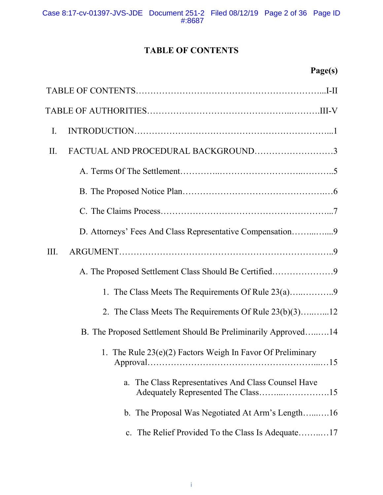# **TABLE OF CONTENTS**

| Page(s) |
|---------|
|---------|

| $\mathbf{I}$ .                                                    |
|-------------------------------------------------------------------|
| FACTUAL AND PROCEDURAL BACKGROUND3<br>II.                         |
|                                                                   |
|                                                                   |
|                                                                   |
| D. Attorneys' Fees And Class Representative Compensation9         |
| III.                                                              |
|                                                                   |
|                                                                   |
| 2. The Class Meets The Requirements Of Rule 23(b)(3)12            |
| B. The Proposed Settlement Should Be Preliminarily Approved14     |
| 1. The Rule 23(e)(2) Factors Weigh In Favor Of Preliminary<br>.15 |
| The Class Representatives And Class Counsel Have<br>a.            |
| b. The Proposal Was Negotiated At Arm's Length16                  |
| c. The Relief Provided To the Class Is Adequate17                 |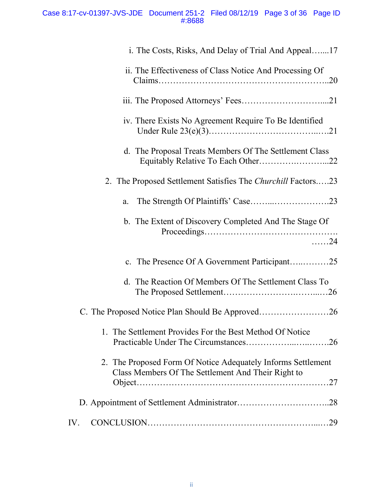### Case 8:17-cv-01397-JVS-JDE Document 251-2 Filed 08/12/19 Page 3 of 36 Page ID #:8688

| i. The Costs, Risks, And Delay of Trial And Appeal17                                                               |
|--------------------------------------------------------------------------------------------------------------------|
| ii. The Effectiveness of Class Notice And Processing Of                                                            |
|                                                                                                                    |
| iv. There Exists No Agreement Require To Be Identified                                                             |
| d. The Proposal Treats Members Of The Settlement Class                                                             |
| 2. The Proposed Settlement Satisfies The Churchill Factors23                                                       |
| a.                                                                                                                 |
| b. The Extent of Discovery Completed And The Stage Of<br>$\ldots$ . 24                                             |
| c. The Presence Of A Government Participant25                                                                      |
| d. The Reaction Of Members Of The Settlement Class To                                                              |
|                                                                                                                    |
| 1. The Settlement Provides For the Best Method Of Notice                                                           |
| 2. The Proposed Form Of Notice Adequately Informs Settlement<br>Class Members Of The Settlement And Their Right to |
|                                                                                                                    |
| IV.                                                                                                                |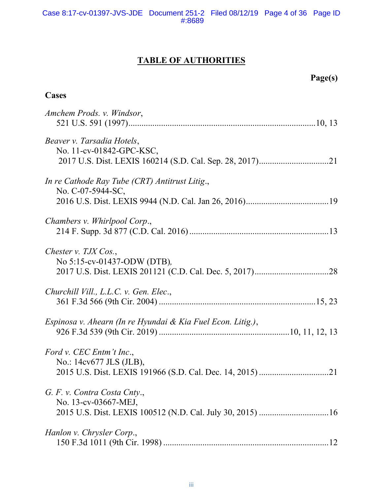# **TABLE OF AUTHORITIES**

# **Page(s)**

# **Cases**

| Amchem Prods. v. Windsor,                                           |
|---------------------------------------------------------------------|
| Beaver v. Tarsadia Hotels,<br>No. 11-cv-01842-GPC-KSC,              |
| In re Cathode Ray Tube (CRT) Antitrust Litig.,<br>No. C-07-5944-SC, |
| Chambers v. Whirlpool Corp.,                                        |
| Chester v. $TJX$ Cos.,<br>No 5:15-cv-01437-ODW (DTB),               |
| Churchill Vill., L.L.C. v. Gen. Elec.,                              |
| Espinosa v. Ahearn (In re Hyundai & Kia Fuel Econ. Litig.),         |
| Ford v. CEC Entm't Inc.,<br>No.: 14cv677 JLS (JLB),                 |
| G. F. v. Contra Costa Cnty.,<br>No. 13-cv-03667-MEJ,                |
| Hanlon v. Chrysler Corp.,                                           |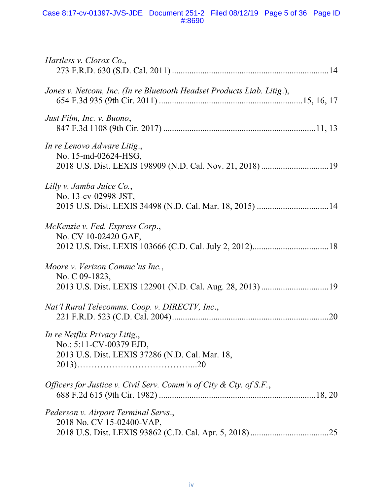| <i>Hartless v. Clorox Co.,</i>                                                                                |  |
|---------------------------------------------------------------------------------------------------------------|--|
| Jones v. Netcom, Inc. (In re Bluetooth Headset Products Liab. Litig.),                                        |  |
| Just Film, Inc. v. Buono,                                                                                     |  |
| In re Lenovo Adware Litig.,<br>No. 15-md-02624-HSG,                                                           |  |
| Lilly v. Jamba Juice Co.,<br>No. 13-cv-02998-JST,                                                             |  |
| McKenzie v. Fed. Express Corp.,<br>No. CV 10-02420 GAF,                                                       |  |
| Moore v. Verizon Commc'ns Inc.,<br>No. C 09-1823,<br>2013 U.S. Dist. LEXIS 122901 (N.D. Cal. Aug. 28, 2013)19 |  |
| Nat'l Rural Telecomms. Coop. v. DIRECTV, Inc.,                                                                |  |
| In re Netflix Privacy Litig.,<br>No.: 5:11-CV-00379 EJD,<br>2013 U.S. Dist. LEXIS 37286 (N.D. Cal. Mar. 18,   |  |
| Officers for Justice v. Civil Serv. Comm'n of City & Cty. of S.F.,                                            |  |
| Pederson v. Airport Terminal Servs.,<br>2018 No. CV 15-02400-VAP,                                             |  |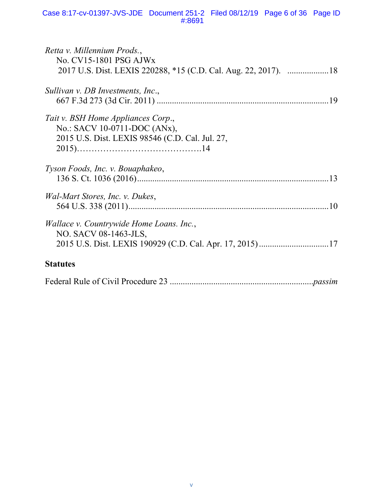| Retta v. Millennium Prods.,<br>No. CV15-1801 PSG AJWx    |
|----------------------------------------------------------|
|                                                          |
| Sullivan v. DB Investments, Inc.,                        |
|                                                          |
| Tait v. BSH Home Appliances Corp.,                       |
| No.: SACV 10-0711-DOC (ANx),                             |
| 2015 U.S. Dist. LEXIS 98546 (C.D. Cal. Jul. 27,          |
|                                                          |
| Tyson Foods, Inc. v. Bouaphakeo,                         |
|                                                          |
| <i>Wal-Mart Stores, Inc. v. Dukes,</i>                   |
|                                                          |
| <i>Wallace v. Countrywide Home Loans. Inc.,</i>          |
| NO. SACV 08-1463-JLS,                                    |
| 2015 U.S. Dist. LEXIS 190929 (C.D. Cal. Apr. 17, 2015)17 |
| <b>Statutes</b>                                          |
|                                                          |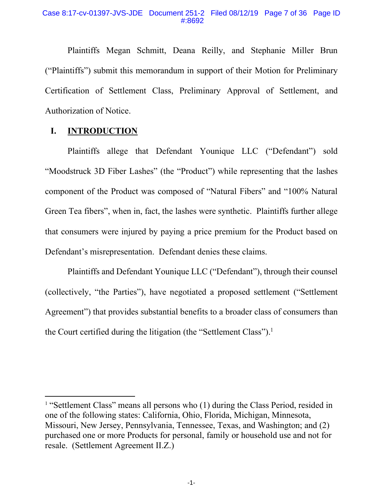Plaintiffs Megan Schmitt, Deana Reilly, and Stephanie Miller Brun ("Plaintiffs") submit this memorandum in support of their Motion for Preliminary Certification of Settlement Class, Preliminary Approval of Settlement, and Authorization of Notice.

# **I. INTRODUCTION**

Plaintiffs allege that Defendant Younique LLC ("Defendant") sold "Moodstruck 3D Fiber Lashes" (the "Product") while representing that the lashes component of the Product was composed of "Natural Fibers" and "100% Natural Green Tea fibers", when in, fact, the lashes were synthetic. Plaintiffs further allege that consumers were injured by paying a price premium for the Product based on Defendant's misrepresentation. Defendant denies these claims.

Plaintiffs and Defendant Younique LLC ("Defendant"), through their counsel (collectively, "the Parties"), have negotiated a proposed settlement ("Settlement Agreement") that provides substantial benefits to a broader class of consumers than the Court certified during the litigation (the "Settlement Class"). 1

<sup>&</sup>lt;sup>1</sup> "Settlement Class" means all persons who (1) during the Class Period, resided in one of the following states: California, Ohio, Florida, Michigan, Minnesota, Missouri, New Jersey, Pennsylvania, Tennessee, Texas, and Washington; and (2) purchased one or more Products for personal, family or household use and not for resale. (Settlement Agreement II.Z.)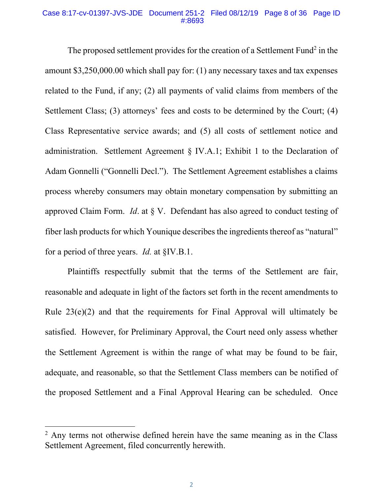### Case 8:17-cv-01397-JVS-JDE Document 251-2 Filed 08/12/19 Page 8 of 36 Page ID #:8693

The proposed settlement provides for the creation of a Settlement Fund<sup>2</sup> in the amount \$3,250,000.00 which shall pay for: (1) any necessary taxes and tax expenses related to the Fund, if any; (2) all payments of valid claims from members of the Settlement Class; (3) attorneys' fees and costs to be determined by the Court; (4) Class Representative service awards; and (5) all costs of settlement notice and administration. Settlement Agreement § IV.A.1; Exhibit 1 to the Declaration of Adam Gonnelli ("Gonnelli Decl."). The Settlement Agreement establishes a claims process whereby consumers may obtain monetary compensation by submitting an approved Claim Form. *Id*. at § V. Defendant has also agreed to conduct testing of fiber lash products for which Younique describes the ingredients thereof as "natural" for a period of three years. *Id.* at §IV.B.1.

Plaintiffs respectfully submit that the terms of the Settlement are fair, reasonable and adequate in light of the factors set forth in the recent amendments to Rule  $23(e)(2)$  and that the requirements for Final Approval will ultimately be satisfied. However, for Preliminary Approval, the Court need only assess whether the Settlement Agreement is within the range of what may be found to be fair, adequate, and reasonable, so that the Settlement Class members can be notified of the proposed Settlement and a Final Approval Hearing can be scheduled. Once

<sup>&</sup>lt;sup>2</sup> Any terms not otherwise defined herein have the same meaning as in the Class Settlement Agreement, filed concurrently herewith.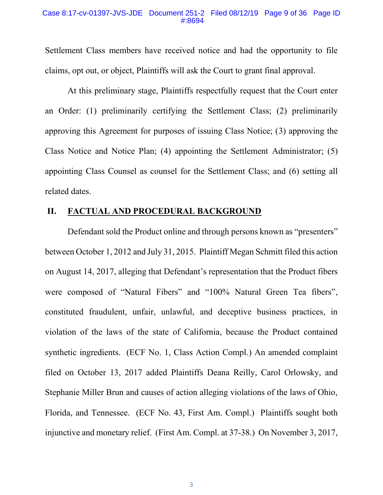### Case 8:17-cv-01397-JVS-JDE Document 251-2 Filed 08/12/19 Page 9 of 36 Page ID #:8694

Settlement Class members have received notice and had the opportunity to file claims, opt out, or object, Plaintiffs will ask the Court to grant final approval.

At this preliminary stage, Plaintiffs respectfully request that the Court enter an Order: (1) preliminarily certifying the Settlement Class; (2) preliminarily approving this Agreement for purposes of issuing Class Notice; (3) approving the Class Notice and Notice Plan; (4) appointing the Settlement Administrator; (5) appointing Class Counsel as counsel for the Settlement Class; and (6) setting all related dates.

# **II. FACTUAL AND PROCEDURAL BACKGROUND**

Defendant sold the Product online and through persons known as "presenters" between October 1, 2012 and July 31, 2015. Plaintiff Megan Schmitt filed this action on August 14, 2017, alleging that Defendant's representation that the Product fibers were composed of "Natural Fibers" and "100% Natural Green Tea fibers", constituted fraudulent, unfair, unlawful, and deceptive business practices, in violation of the laws of the state of California, because the Product contained synthetic ingredients. (ECF No. 1, Class Action Compl.) An amended complaint filed on October 13, 2017 added Plaintiffs Deana Reilly, Carol Orlowsky, and Stephanie Miller Brun and causes of action alleging violations of the laws of Ohio, Florida, and Tennessee. (ECF No. 43, First Am. Compl.) Plaintiffs sought both injunctive and monetary relief. (First Am. Compl. at 37-38.) On November 3, 2017,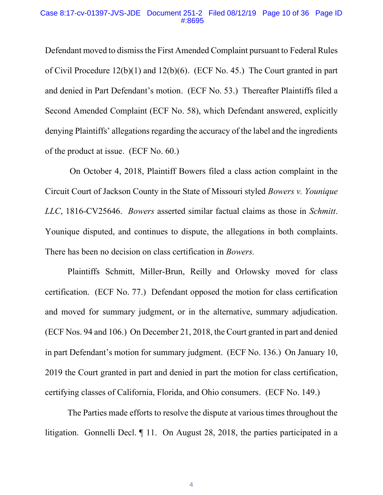### Case 8:17-cv-01397-JVS-JDE Document 251-2 Filed 08/12/19 Page 10 of 36 Page ID #:8695

Defendant moved to dismiss the First Amended Complaint pursuant to Federal Rules of Civil Procedure 12(b)(1) and 12(b)(6). (ECF No. 45.) The Court granted in part and denied in Part Defendant's motion. (ECF No. 53.) Thereafter Plaintiffs filed a Second Amended Complaint (ECF No. 58), which Defendant answered, explicitly denying Plaintiffs' allegations regarding the accuracy of the label and the ingredients of the product at issue. (ECF No. 60.)

On October 4, 2018, Plaintiff Bowers filed a class action complaint in the Circuit Court of Jackson County in the State of Missouri styled *Bowers v. Younique LLC*, 1816-CV25646. *Bowers* asserted similar factual claims as those in *Schmitt*. Younique disputed, and continues to dispute, the allegations in both complaints. There has been no decision on class certification in *Bowers.*

Plaintiffs Schmitt, Miller-Brun, Reilly and Orlowsky moved for class certification. (ECF No. 77.) Defendant opposed the motion for class certification and moved for summary judgment, or in the alternative, summary adjudication. (ECF Nos. 94 and 106.) On December 21, 2018, the Court granted in part and denied in part Defendant's motion for summary judgment. (ECF No. 136.) On January 10, 2019 the Court granted in part and denied in part the motion for class certification, certifying classes of California, Florida, and Ohio consumers. (ECF No. 149.)

The Parties made efforts to resolve the dispute at various times throughout the litigation. Gonnelli Decl. ¶ 11. On August 28, 2018, the parties participated in a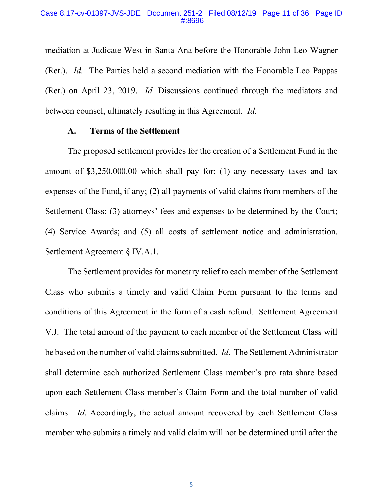mediation at Judicate West in Santa Ana before the Honorable John Leo Wagner (Ret.). *Id.* The Parties held a second mediation with the Honorable Leo Pappas (Ret.) on April 23, 2019. *Id.* Discussions continued through the mediators and between counsel, ultimately resulting in this Agreement. *Id.*

### **A. Terms of the Settlement**

The proposed settlement provides for the creation of a Settlement Fund in the amount of \$3,250,000.00 which shall pay for: (1) any necessary taxes and tax expenses of the Fund, if any; (2) all payments of valid claims from members of the Settlement Class; (3) attorneys' fees and expenses to be determined by the Court; (4) Service Awards; and (5) all costs of settlement notice and administration. Settlement Agreement § IV.A.1.

The Settlement provides for monetary relief to each member of the Settlement Class who submits a timely and valid Claim Form pursuant to the terms and conditions of this Agreement in the form of a cash refund. Settlement Agreement V.J. The total amount of the payment to each member of the Settlement Class will be based on the number of valid claims submitted. *Id*. The Settlement Administrator shall determine each authorized Settlement Class member's pro rata share based upon each Settlement Class member's Claim Form and the total number of valid claims. *Id*. Accordingly, the actual amount recovered by each Settlement Class member who submits a timely and valid claim will not be determined until after the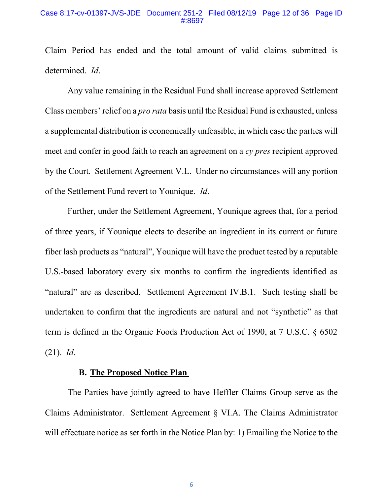### Case 8:17-cv-01397-JVS-JDE Document 251-2 Filed 08/12/19 Page 12 of 36 Page ID #:8697

Claim Period has ended and the total amount of valid claims submitted is determined. *Id*.

Any value remaining in the Residual Fund shall increase approved Settlement Class members' relief on a *pro rata* basis until the Residual Fund is exhausted, unless a supplemental distribution is economically unfeasible, in which case the parties will meet and confer in good faith to reach an agreement on a *cy pres* recipient approved by the Court. Settlement Agreement V.L. Under no circumstances will any portion of the Settlement Fund revert to Younique. *Id*.

Further, under the Settlement Agreement, Younique agrees that, for a period of three years, if Younique elects to describe an ingredient in its current or future fiber lash products as "natural", Younique will have the product tested by a reputable U.S.-based laboratory every six months to confirm the ingredients identified as "natural" are as described. Settlement Agreement IV.B.1. Such testing shall be undertaken to confirm that the ingredients are natural and not "synthetic" as that term is defined in the Organic Foods Production Act of 1990, at 7 U.S.C. § 6502 (21). *Id*.

# **B. The Proposed Notice Plan**

The Parties have jointly agreed to have Heffler Claims Group serve as the Claims Administrator. Settlement Agreement § VI.A. The Claims Administrator will effectuate notice as set forth in the Notice Plan by: 1) Emailing the Notice to the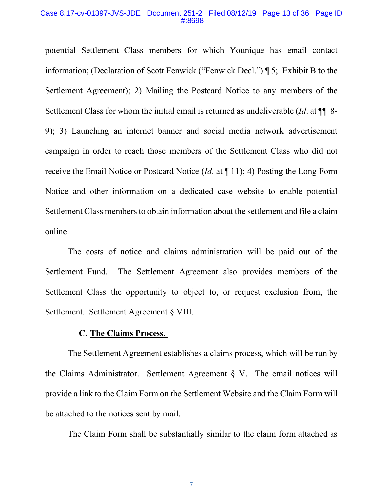#### Case 8:17-cv-01397-JVS-JDE Document 251-2 Filed 08/12/19 Page 13 of 36 Page ID #:8698

potential Settlement Class members for which Younique has email contact information; (Declaration of Scott Fenwick ("Fenwick Decl.") ¶ 5; Exhibit B to the Settlement Agreement); 2) Mailing the Postcard Notice to any members of the Settlement Class for whom the initial email is returned as undeliverable (*Id*. at ¶¶ 8- 9); 3) Launching an internet banner and social media network advertisement campaign in order to reach those members of the Settlement Class who did not receive the Email Notice or Postcard Notice (*Id*. at ¶ 11); 4) Posting the Long Form Notice and other information on a dedicated case website to enable potential Settlement Class members to obtain information about the settlement and file a claim online.

The costs of notice and claims administration will be paid out of the Settlement Fund. The Settlement Agreement also provides members of the Settlement Class the opportunity to object to, or request exclusion from, the Settlement. Settlement Agreement § VIII.

### **C. The Claims Process.**

The Settlement Agreement establishes a claims process, which will be run by the Claims Administrator. Settlement Agreement § V. The email notices will provide a link to the Claim Form on the Settlement Website and the Claim Form will be attached to the notices sent by mail.

The Claim Form shall be substantially similar to the claim form attached as

7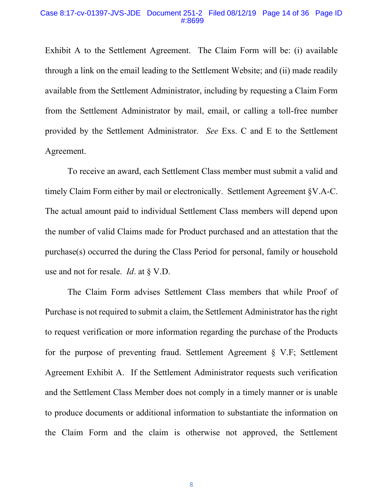#### Case 8:17-cv-01397-JVS-JDE Document 251-2 Filed 08/12/19 Page 14 of 36 Page ID #:8699

Exhibit A to the Settlement Agreement. The Claim Form will be: (i) available through a link on the email leading to the Settlement Website; and (ii) made readily available from the Settlement Administrator, including by requesting a Claim Form from the Settlement Administrator by mail, email, or calling a toll-free number provided by the Settlement Administrator. *See* Exs. C and E to the Settlement Agreement.

To receive an award, each Settlement Class member must submit a valid and timely Claim Form either by mail or electronically. Settlement Agreement §V.A-C. The actual amount paid to individual Settlement Class members will depend upon the number of valid Claims made for Product purchased and an attestation that the purchase(s) occurred the during the Class Period for personal, family or household use and not for resale. *Id*. at § V.D.

The Claim Form advises Settlement Class members that while Proof of Purchase is not required to submit a claim, the Settlement Administrator has the right to request verification or more information regarding the purchase of the Products for the purpose of preventing fraud. Settlement Agreement § V.F; Settlement Agreement Exhibit A. If the Settlement Administrator requests such verification and the Settlement Class Member does not comply in a timely manner or is unable to produce documents or additional information to substantiate the information on the Claim Form and the claim is otherwise not approved, the Settlement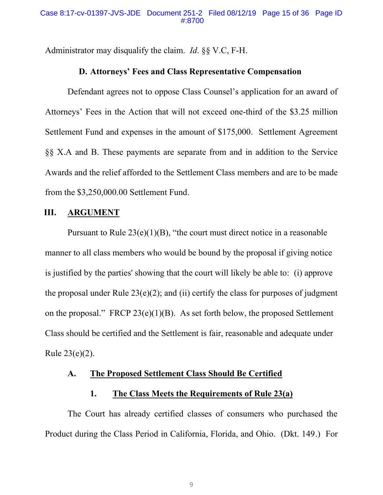Administrator may disqualify the claim. *Id*. §§ V.C, F-H.

# **D. Attorneys' Fees and Class Representative Compensation**

Defendant agrees not to oppose Class Counsel's application for an award of Attorneys' Fees in the Action that will not exceed one-third of the \$3.25 million Settlement Fund and expenses in the amount of \$175,000. Settlement Agreement §§ X.A and B. These payments are separate from and in addition to the Service Awards and the relief afforded to the Settlement Class members and are to be made from the \$3,250,000.00 Settlement Fund.

# **III. ARGUMENT**

Pursuant to Rule  $23(e)(1)(B)$ , "the court must direct notice in a reasonable manner to all class members who would be bound by the proposal if giving notice is justified by the parties' showing that the court will likely be able to: (i) approve the proposal under Rule  $23(e)(2)$ ; and (ii) certify the class for purposes of judgment on the proposal." FRCP  $23(e)(1)(B)$ . As set forth below, the proposed Settlement Class should be certified and the Settlement is fair, reasonable and adequate under Rule 23(e)(2).

# **A. The Proposed Settlement Class Should Be Certified**

# **1. The Class Meets the Requirements of Rule 23(a)**

The Court has already certified classes of consumers who purchased the Product during the Class Period in California, Florida, and Ohio. (Dkt. 149.) For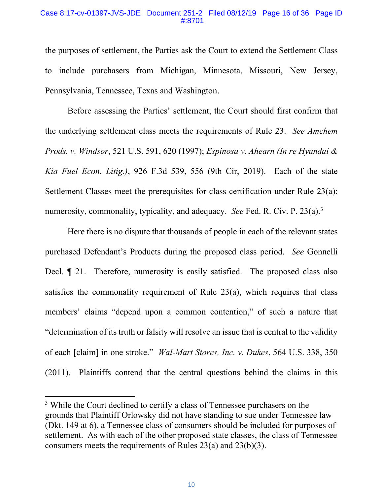### Case 8:17-cv-01397-JVS-JDE Document 251-2 Filed 08/12/19 Page 16 of 36 Page ID #:8701

the purposes of settlement, the Parties ask the Court to extend the Settlement Class to include purchasers from Michigan, Minnesota, Missouri, New Jersey, Pennsylvania, Tennessee, Texas and Washington.

<span id="page-18-1"></span><span id="page-18-0"></span>Before assessing the Parties' settlement, the Court should first confirm that the underlying settlement class meets the requirements of Rule 23. *See Amchem Prods. v. Windsor*, 521 U.S. 591, 620 (1997); *Espinosa v. Ahearn (In re Hyundai & Kia Fuel Econ. Litig.)*, 926 F.3d 539, 556 (9th Cir, 2019). Each of the state Settlement Classes meet the prerequisites for class certification under Rule 23(a): numerosity, commonality, typicality, and adequacy. *See* Fed. R. Civ. P. 23(a).<sup>3</sup>

Here there is no dispute that thousands of people in each of the relevant states purchased Defendant's Products during the proposed class period. *See* Gonnelli Decl. ¶ 21. Therefore, numerosity is easily satisfied. The proposed class also satisfies the commonality requirement of Rule 23(a), which requires that class members' claims "depend upon a common contention," of such a nature that "determination of its truth or falsity will resolve an issue that is central to the validity of each [claim] in one stroke." *Wal-Mart Stores, Inc. v. Dukes*, 564 U.S. 338, 350 (2011). Plaintiffs contend that the central questions behind the claims in this

<span id="page-18-2"></span><sup>&</sup>lt;sup>3</sup> While the Court declined to certify a class of Tennessee purchasers on the grounds that Plaintiff Orlowsky did not have standing to sue under Tennessee law (Dkt. 149 at 6), a Tennessee class of consumers should be included for purposes of settlement. As with each of the other proposed state classes, the class of Tennessee consumers meets the requirements of Rules 23(a) and 23(b)(3).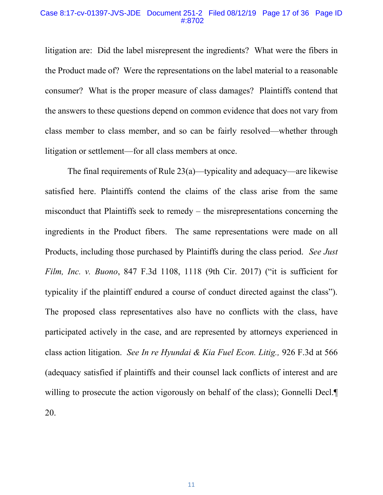### Case 8:17-cv-01397-JVS-JDE Document 251-2 Filed 08/12/19 Page 17 of 36 Page ID #:8702

litigation are: Did the label misrepresent the ingredients? What were the fibers in the Product made of? Were the representations on the label material to a reasonable consumer? What is the proper measure of class damages? Plaintiffs contend that the answers to these questions depend on common evidence that does not vary from class member to class member, and so can be fairly resolved—whether through litigation or settlement—for all class members at once.

<span id="page-19-1"></span><span id="page-19-0"></span>The final requirements of Rule 23(a)—typicality and adequacy—are likewise satisfied here. Plaintiffs contend the claims of the class arise from the same misconduct that Plaintiffs seek to remedy – the misrepresentations concerning the ingredients in the Product fibers. The same representations were made on all Products, including those purchased by Plaintiffs during the class period. *See Just Film, Inc. v. Buono*, 847 F.3d 1108, 1118 (9th Cir. 2017) ("it is sufficient for typicality if the plaintiff endured a course of conduct directed against the class"). The proposed class representatives also have no conflicts with the class, have participated actively in the case, and are represented by attorneys experienced in class action litigation. *See In re Hyundai & Kia Fuel Econ. Litig.,* 926 F.3d at 566 (adequacy satisfied if plaintiffs and their counsel lack conflicts of interest and are willing to prosecute the action vigorously on behalf of the class); Gonnelli Decl. 20.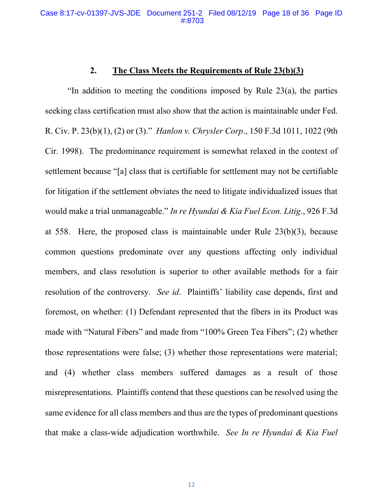# <span id="page-20-2"></span><span id="page-20-1"></span><span id="page-20-0"></span>**2. The Class Meets the Requirements of Rule 23(b)(3)**

"In addition to meeting the conditions imposed by Rule 23(a), the parties seeking class certification must also show that the action is maintainable under Fed. R. Civ. P. 23(b)(1), (2) or (3)." *Hanlon v. Chrysler Corp*., 150 F.3d 1011, 1022 (9th Cir. 1998). The predominance requirement is somewhat relaxed in the context of settlement because "[a] class that is certifiable for settlement may not be certifiable for litigation if the settlement obviates the need to litigate individualized issues that would make a trial unmanageable." *In re Hyundai & Kia Fuel Econ. Litig*., 926 F.3d at 558. Here, the proposed class is maintainable under Rule 23(b)(3), because common questions predominate over any questions affecting only individual members, and class resolution is superior to other available methods for a fair resolution of the controversy. *See id*. Plaintiffs' liability case depends, first and foremost, on whether: (1) Defendant represented that the fibers in its Product was made with "Natural Fibers" and made from "100% Green Tea Fibers"; (2) whether those representations were false; (3) whether those representations were material; and (4) whether class members suffered damages as a result of those misrepresentations. Plaintiffs contend that these questions can be resolved using the same evidence for all class members and thus are the types of predominant questions that make a class-wide adjudication worthwhile. *See In re Hyundai & Kia Fuel*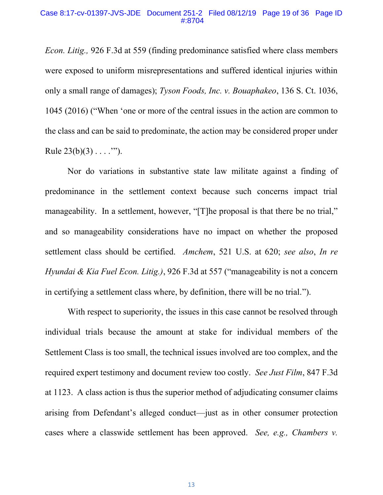#### Case 8:17-cv-01397-JVS-JDE Document 251-2 Filed 08/12/19 Page 19 of 36 Page ID #:8704

<span id="page-21-4"></span>*Econ. Litig.,* 926 F.3d at 559 (finding predominance satisfied where class members were exposed to uniform misrepresentations and suffered identical injuries within only a small range of damages); *Tyson Foods, Inc. v. Bouaphakeo*, 136 S. Ct. 1036, 1045 (2016) ("When 'one or more of the central issues in the action are common to the class and can be said to predominate, the action may be considered proper under Rule  $23(b)(3) \ldots$ ....").

Nor do variations in substantive state law militate against a finding of predominance in the settlement context because such concerns impact trial manageability. In a settlement, however, "[T]he proposal is that there be no trial," and so manageability considerations have no impact on whether the proposed settlement class should be certified. *Amchem*, 521 U.S. at 620; *see also*, *In re Hyundai & Kia Fuel Econ. Litig.)*, 926 F.3d at 557 ("manageability is not a concern in certifying a settlement class where, by definition, there will be no trial.").

<span id="page-21-3"></span><span id="page-21-2"></span><span id="page-21-1"></span><span id="page-21-0"></span>With respect to superiority, the issues in this case cannot be resolved through individual trials because the amount at stake for individual members of the Settlement Class is too small, the technical issues involved are too complex, and the required expert testimony and document review too costly. *See Just Film*, 847 F.3d at 1123. A class action is thus the superior method of adjudicating consumer claims arising from Defendant's alleged conduct—just as in other consumer protection cases where a classwide settlement has been approved. *See, e.g., Chambers v.*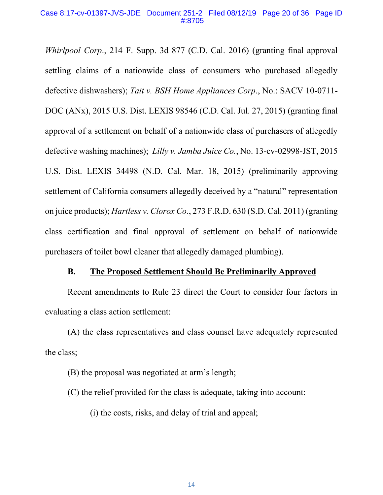### Case 8:17-cv-01397-JVS-JDE Document 251-2 Filed 08/12/19 Page 20 of 36 Page ID #:8705

<span id="page-22-1"></span>*Whirlpool Corp*., 214 F. Supp. 3d 877 (C.D. Cal. 2016) (granting final approval settling claims of a nationwide class of consumers who purchased allegedly defective dishwashers); *Tait v. BSH Home Appliances Corp*., No.: SACV 10-0711- DOC (ANx), 2015 U.S. Dist. LEXIS 98546 (C.D. Cal. Jul. 27, 2015) (granting final approval of a settlement on behalf of a nationwide class of purchasers of allegedly defective washing machines); *Lilly v. Jamba Juice Co.*, No. 13-cv-02998-JST, 2015 U.S. Dist. LEXIS 34498 (N.D. Cal. Mar. 18, 2015) (preliminarily approving settlement of California consumers allegedly deceived by a "natural" representation on juice products); *Hartless v. Clorox Co*., 273 F.R.D. 630 (S.D. Cal. 2011) (granting class certification and final approval of settlement on behalf of nationwide purchasers of toilet bowl cleaner that allegedly damaged plumbing).

### <span id="page-22-0"></span>**B. The Proposed Settlement Should Be Preliminarily Approved**

Recent amendments to Rule 23 direct the Court to consider four factors in evaluating a class action settlement:

(A) the class representatives and class counsel have adequately represented the class;

(B) the proposal was negotiated at arm's length;

(C) the relief provided for the class is adequate, taking into account:

(i) the costs, risks, and delay of trial and appeal;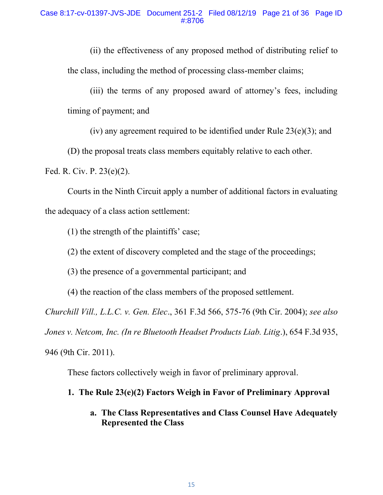(ii) the effectiveness of any proposed method of distributing relief to the class, including the method of processing class-member claims;

(iii) the terms of any proposed award of attorney's fees, including timing of payment; and

(iv) any agreement required to be identified under Rule  $23(e)(3)$ ; and

(D) the proposal treats class members equitably relative to each other.

Fed. R. Civ. P. 23(e)(2).

Courts in the Ninth Circuit apply a number of additional factors in evaluating the adequacy of a class action settlement:

(1) the strength of the plaintiffs' case;

(2) the extent of discovery completed and the stage of the proceedings;

(3) the presence of a governmental participant; and

(4) the reaction of the class members of the proposed settlement.

<span id="page-23-0"></span>*Churchill Vill., L.L.C. v. Gen. Elec*., 361 F.3d 566, 575-76 (9th Cir. 2004); *see also* 

<span id="page-23-1"></span>*Jones v. Netcom, Inc. (In re Bluetooth Headset Products Liab. Litig*.), 654 F.3d 935,

946 (9th Cir. 2011).

These factors collectively weigh in favor of preliminary approval.

# **1. The Rule 23(e)(2) Factors Weigh in Favor of Preliminary Approval**

# **a. The Class Representatives and Class Counsel Have Adequately Represented the Class**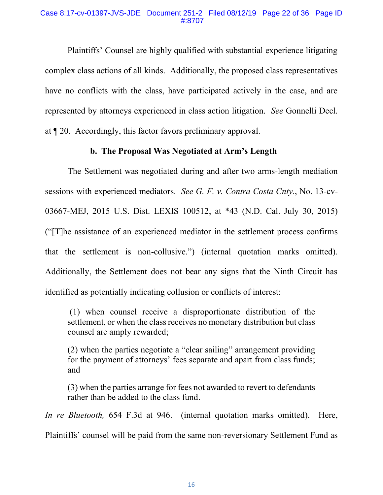### Case 8:17-cv-01397-JVS-JDE Document 251-2 Filed 08/12/19 Page 22 of 36 Page ID #:8707

Plaintiffs' Counsel are highly qualified with substantial experience litigating complex class actions of all kinds. Additionally, the proposed class representatives have no conflicts with the class, have participated actively in the case, and are represented by attorneys experienced in class action litigation. *See* Gonnelli Decl. at ¶ 20. Accordingly, this factor favors preliminary approval.

### <span id="page-24-0"></span>**b. The Proposal Was Negotiated at Arm's Length**

The Settlement was negotiated during and after two arms-length mediation sessions with experienced mediators. *See G. F. v. Contra Costa Cnty*., No. 13-cv-03667-MEJ, 2015 U.S. Dist. LEXIS 100512, at \*43 (N.D. Cal. July 30, 2015) ("[T]he assistance of an experienced mediator in the settlement process confirms that the settlement is non-collusive.") (internal quotation marks omitted). Additionally, the Settlement does not bear any signs that the Ninth Circuit has identified as potentially indicating collusion or conflicts of interest:

(1) when counsel receive a disproportionate distribution of the settlement, or when the class receives no monetary distribution but class counsel are amply rewarded;

(2) when the parties negotiate a "clear sailing" arrangement providing for the payment of attorneys' fees separate and apart from class funds; and

(3) when the parties arrange for fees not awarded to revert to defendants rather than be added to the class fund.

<span id="page-24-1"></span>*In re Bluetooth,* 654 F.3d at 946.(internal quotation marks omitted). Here, Plaintiffs' counsel will be paid from the same non-reversionary Settlement Fund as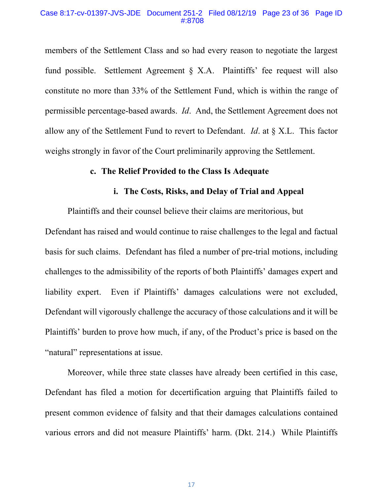### Case 8:17-cv-01397-JVS-JDE Document 251-2 Filed 08/12/19 Page 23 of 36 Page ID #:8708

members of the Settlement Class and so had every reason to negotiate the largest fund possible. Settlement Agreement § X.A. Plaintiffs' fee request will also constitute no more than 33% of the Settlement Fund, which is within the range of permissible percentage-based awards. *Id*. And, the Settlement Agreement does not allow any of the Settlement Fund to revert to Defendant. *Id*. at § X.L. This factor weighs strongly in favor of the Court preliminarily approving the Settlement.

### **c. The Relief Provided to the Class Is Adequate**

# <span id="page-25-0"></span>**i. The Costs, Risks, and Delay of Trial and Appeal**

Plaintiffs and their counsel believe their claims are meritorious, but Defendant has raised and would continue to raise challenges to the legal and factual basis for such claims. Defendant has filed a number of pre-trial motions, including challenges to the admissibility of the reports of both Plaintiffs' damages expert and liability expert. Even if Plaintiffs' damages calculations were not excluded, Defendant will vigorously challenge the accuracy of those calculations and it will be Plaintiffs' burden to prove how much, if any, of the Product's price is based on the "natural" representations at issue.

Moreover, while three state classes have already been certified in this case, Defendant has filed a motion for decertification arguing that Plaintiffs failed to present common evidence of falsity and that their damages calculations contained various errors and did not measure Plaintiffs' harm. (Dkt. 214.) While Plaintiffs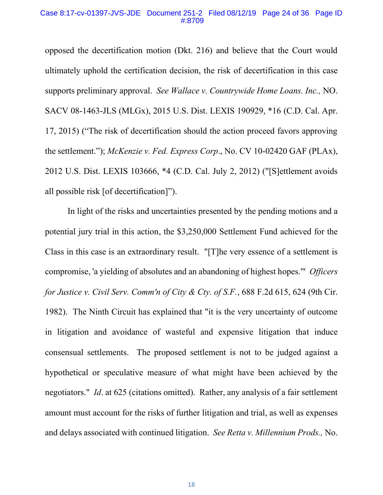#### Case 8:17-cv-01397-JVS-JDE Document 251-2 Filed 08/12/19 Page 24 of 36 Page ID #:8709

<span id="page-26-3"></span>opposed the decertification motion (Dkt. 216) and believe that the Court would ultimately uphold the certification decision, the risk of decertification in this case supports preliminary approval. *See Wallace v. Countrywide Home Loans. Inc.,* NO. SACV 08-1463-JLS (MLGx), 2015 U.S. Dist. LEXIS 190929, \*16 (C.D. Cal. Apr. 17, 2015) ("The risk of decertification should the action proceed favors approving the settlement."); *McKenzie v. Fed. Express Corp*., No. CV 10-02420 GAF (PLAx), 2012 U.S. Dist. LEXIS 103666, \*4 (C.D. Cal. July 2, 2012) ("[S]ettlement avoids all possible risk [of decertification]").

<span id="page-26-2"></span><span id="page-26-1"></span><span id="page-26-0"></span>In light of the risks and uncertainties presented by the pending motions and a potential jury trial in this action, the \$3,250,000 Settlement Fund achieved for the Class in this case is an extraordinary result. "[T]he very essence of a settlement is compromise, 'a yielding of absolutes and an abandoning of highest hopes.'" *Officers for Justice v. Civil Serv. Comm'n of City & Cty. of S.F.*, 688 F.2d 615, 624 (9th Cir. 1982). The Ninth Circuit has explained that "it is the very uncertainty of outcome in litigation and avoidance of wasteful and expensive litigation that induce consensual settlements. The proposed settlement is not to be judged against a hypothetical or speculative measure of what might have been achieved by the negotiators." *Id*. at 625 (citations omitted). Rather, any analysis of a fair settlement amount must account for the risks of further litigation and trial, as well as expenses and delays associated with continued litigation. *See Retta v. Millennium Prods.,* No.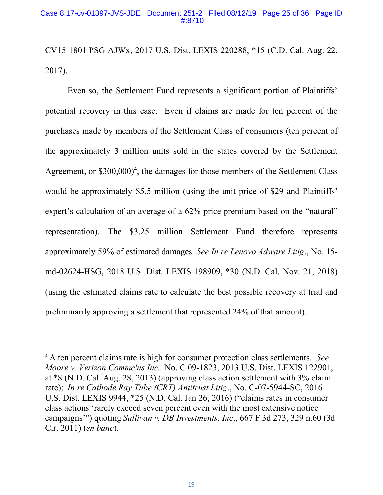### Case 8:17-cv-01397-JVS-JDE Document 251-2 Filed 08/12/19 Page 25 of 36 Page ID #:8710

CV15-1801 PSG AJWx, 2017 U.S. Dist. LEXIS 220288, \*15 (C.D. Cal. Aug. 22, 2017).

Even so, the Settlement Fund represents a significant portion of Plaintiffs' potential recovery in this case. Even if claims are made for ten percent of the purchases made by members of the Settlement Class of consumers (ten percent of the approximately 3 million units sold in the states covered by the Settlement Agreement, or  $$300,000$ <sup>4</sup>, the damages for those members of the Settlement Class would be approximately \$5.5 million (using the unit price of \$29 and Plaintiffs' expert's calculation of an average of a 62% price premium based on the "natural" representation). The \$3.25 million Settlement Fund therefore represents approximately 59% of estimated damages. *See In re Lenovo Adware Litig*., No. 15 md-02624-HSG, 2018 U.S. Dist. LEXIS 198909, \*30 (N.D. Cal. Nov. 21, 2018) (using the estimated claims rate to calculate the best possible recovery at trial and preliminarily approving a settlement that represented 24% of that amount).

<span id="page-27-3"></span><span id="page-27-2"></span><span id="page-27-1"></span><span id="page-27-0"></span><sup>4</sup> A ten percent claims rate is high for consumer protection class settlements. *See Moore v. Verizon Commc'ns Inc.,* No. C 09-1823, 2013 U.S. Dist. LEXIS 122901, at \*8 (N.D. Cal. Aug. 28, 2013) (approving class action settlement with 3% claim rate); *In re Cathode Ray Tube (CRT) Antitrust Litig*., No. C-07-5944-SC, 2016 U.S. Dist. LEXIS 9944, \*25 (N.D. Cal. Jan 26, 2016) ("claims rates in consumer class actions 'rarely exceed seven percent even with the most extensive notice campaigns'") quoting *Sullivan v. DB Investments, Inc*., 667 F.3d 273, 329 n.60 (3d Cir. 2011) (*en banc*).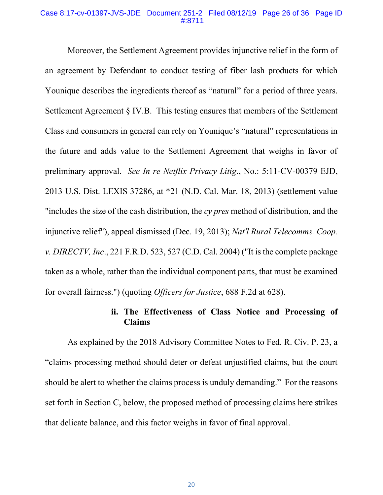### Case 8:17-cv-01397-JVS-JDE Document 251-2 Filed 08/12/19 Page 26 of 36 Page ID #:8711

Moreover, the Settlement Agreement provides injunctive relief in the form of an agreement by Defendant to conduct testing of fiber lash products for which Younique describes the ingredients thereof as "natural" for a period of three years. Settlement Agreement § IV.B. This testing ensures that members of the Settlement Class and consumers in general can rely on Younique's "natural" representations in the future and adds value to the Settlement Agreement that weighs in favor of preliminary approval. *See In re Netflix Privacy Litig*., No.: 5:11-CV-00379 EJD, 2013 U.S. Dist. LEXIS 37286, at \*21 (N.D. Cal. Mar. 18, 2013) (settlement value "includes the size of the cash distribution, the *cy pres* method of distribution, and the injunctive relief"), appeal dismissed (Dec. 19, 2013); *Nat'l Rural Telecomms. Coop. v. DIRECTV, Inc*., 221 F.R.D. 523, 527 (C.D. Cal. 2004) ("It is the complete package taken as a whole, rather than the individual component parts, that must be examined for overall fairness.") (quoting *Officers for Justice*, 688 F.2d at 628).

# <span id="page-28-2"></span><span id="page-28-1"></span><span id="page-28-0"></span>**ii. The Effectiveness of Class Notice and Processing of Claims**

As explained by the 2018 Advisory Committee Notes to Fed. R. Civ. P. 23, a "claims processing method should deter or defeat unjustified claims, but the court should be alert to whether the claims process is unduly demanding." For the reasons set forth in Section C, below, the proposed method of processing claims here strikes that delicate balance, and this factor weighs in favor of final approval.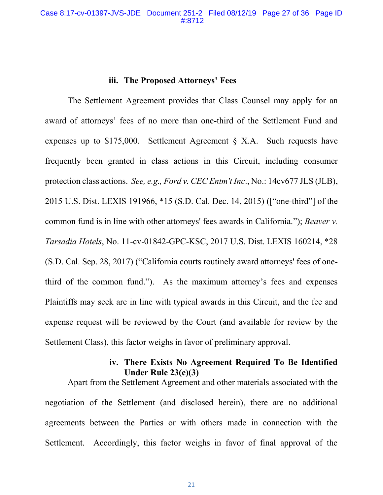### <span id="page-29-1"></span><span id="page-29-0"></span>**iii. The Proposed Attorneys' Fees**

The Settlement Agreement provides that Class Counsel may apply for an award of attorneys' fees of no more than one-third of the Settlement Fund and expenses up to \$175,000. Settlement Agreement § X.A. Such requests have frequently been granted in class actions in this Circuit, including consumer protection class actions. *See, e.g., Ford v. CEC Entm't Inc*., No.: 14cv677 JLS (JLB), 2015 U.S. Dist. LEXIS 191966, \*15 (S.D. Cal. Dec. 14, 2015) (["one-third"] of the common fund is in line with other attorneys' fees awards in California."); *Beaver v. Tarsadia Hotels*, No. 11-cv-01842-GPC-KSC, 2017 U.S. Dist. LEXIS 160214, \*28 (S.D. Cal. Sep. 28, 2017) ("California courts routinely award attorneys' fees of onethird of the common fund."). As the maximum attorney's fees and expenses Plaintiffs may seek are in line with typical awards in this Circuit, and the fee and expense request will be reviewed by the Court (and available for review by the Settlement Class), this factor weighs in favor of preliminary approval.

# **iv. There Exists No Agreement Required To Be Identified Under Rule 23(e)(3)**

Apart from the Settlement Agreement and other materials associated with the negotiation of the Settlement (and disclosed herein), there are no additional agreements between the Parties or with others made in connection with the Settlement. Accordingly, this factor weighs in favor of final approval of the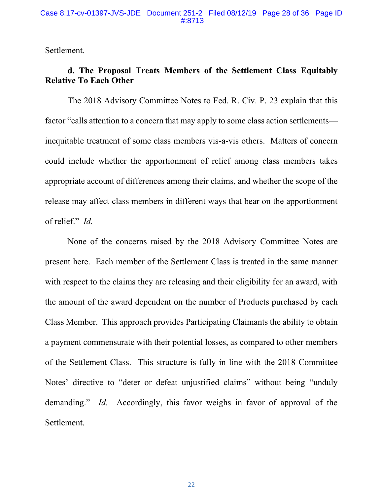### Case 8:17-cv-01397-JVS-JDE Document 251-2 Filed 08/12/19 Page 28 of 36 Page ID #:8713

Settlement.

# **d. The Proposal Treats Members of the Settlement Class Equitably Relative To Each Other**

The 2018 Advisory Committee Notes to Fed. R. Civ. P. 23 explain that this factor "calls attention to a concern that may apply to some class action settlements inequitable treatment of some class members vis-a-vis others. Matters of concern could include whether the apportionment of relief among class members takes appropriate account of differences among their claims, and whether the scope of the release may affect class members in different ways that bear on the apportionment of relief." *Id.*

None of the concerns raised by the 2018 Advisory Committee Notes are present here. Each member of the Settlement Class is treated in the same manner with respect to the claims they are releasing and their eligibility for an award, with the amount of the award dependent on the number of Products purchased by each Class Member. This approach provides Participating Claimants the ability to obtain a payment commensurate with their potential losses, as compared to other members of the Settlement Class. This structure is fully in line with the 2018 Committee Notes' directive to "deter or defeat unjustified claims" without being "unduly demanding." *Id.* Accordingly, this favor weighs in favor of approval of the Settlement.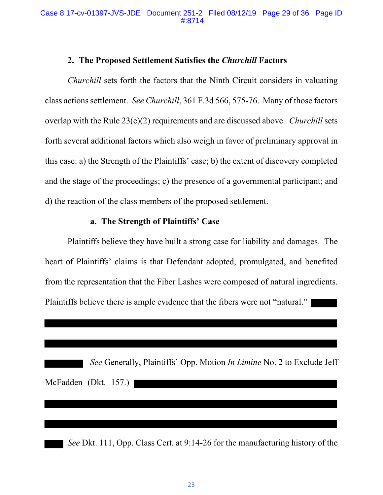## <span id="page-31-0"></span>**2. The Proposed Settlement Satisfies the** *Churchill* **Factors**

*Churchill* sets forth the factors that the Ninth Circuit considers in valuating class actions settlement. *See Churchill*, 361 F.3d 566, 575-76. Many of those factors overlap with the Rule 23(e)(2) requirements and are discussed above. *Churchill* sets forth several additional factors which also weigh in favor of preliminary approval in this case: a) the Strength of the Plaintiffs' case; b) the extent of discovery completed and the stage of the proceedings; c) the presence of a governmental participant; and d) the reaction of the class members of the proposed settlement.

# **a. The Strength of Plaintiffs' Case**

Plaintiffs believe they have built a strong case for liability and damages. The heart of Plaintiffs' claims is that Defendant adopted, promulgated, and benefited from the representation that the Fiber Lashes were composed of natural ingredients. Plaintiffs believe there is ample evidence that the fibers were not "natural."

|                         |  | See Generally, Plaintiffs' Opp. Motion <i>In Limine</i> No. 2 to Exclude Jeff |  |  |  |  |
|-------------------------|--|-------------------------------------------------------------------------------|--|--|--|--|
| McFadden (Dkt. $157$ .) |  |                                                                               |  |  |  |  |

 *See* Dkt. 111, Opp. Class Cert. at 9:14-26 for the manufacturing history of the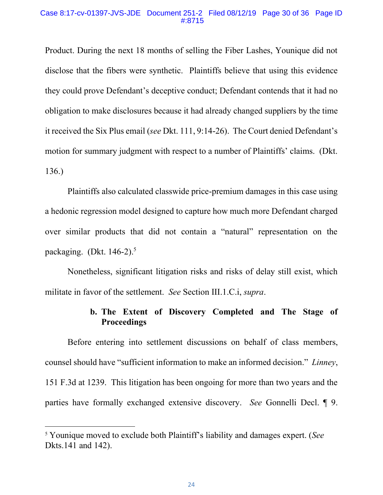### Case 8:17-cv-01397-JVS-JDE Document 251-2 Filed 08/12/19 Page 30 of 36 Page ID #:8715

Product. During the next 18 months of selling the Fiber Lashes, Younique did not disclose that the fibers were synthetic. Plaintiffs believe that using this evidence they could prove Defendant's deceptive conduct; Defendant contends that it had no obligation to make disclosures because it had already changed suppliers by the time it received the Six Plus email (*see* Dkt. 111, 9:14-26). The Court denied Defendant's motion for summary judgment with respect to a number of Plaintiffs' claims. (Dkt. 136.)

Plaintiffs also calculated classwide price-premium damages in this case using a hedonic regression model designed to capture how much more Defendant charged over similar products that did not contain a "natural" representation on the packaging. (Dkt.  $146-2$ ).<sup>5</sup>

Nonetheless, significant litigation risks and risks of delay still exist, which militate in favor of the settlement. *See* Section III.1.C.i, *supra*.

# **b. The Extent of Discovery Completed and The Stage of Proceedings**

Before entering into settlement discussions on behalf of class members, counsel should have "sufficient information to make an informed decision." *Linney*, 151 F.3d at 1239. This litigation has been ongoing for more than two years and the parties have formally exchanged extensive discovery. *See* Gonnelli Decl. ¶ 9.

<sup>5</sup> Younique moved to exclude both Plaintiff's liability and damages expert. (*See*  Dkts.141 and 142).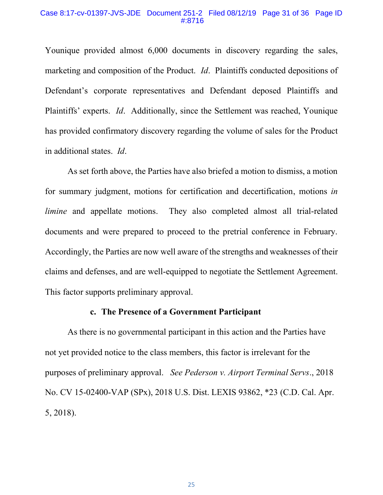### Case 8:17-cv-01397-JVS-JDE Document 251-2 Filed 08/12/19 Page 31 of 36 Page ID #:8716

Younique provided almost 6,000 documents in discovery regarding the sales, marketing and composition of the Product. *Id*. Plaintiffs conducted depositions of Defendant's corporate representatives and Defendant deposed Plaintiffs and Plaintiffs' experts. *Id*. Additionally, since the Settlement was reached, Younique has provided confirmatory discovery regarding the volume of sales for the Product in additional states. *Id*.

As set forth above, the Parties have also briefed a motion to dismiss, a motion for summary judgment, motions for certification and decertification, motions *in limine* and appellate motions. They also completed almost all trial-related documents and were prepared to proceed to the pretrial conference in February. Accordingly, the Parties are now well aware of the strengths and weaknesses of their claims and defenses, and are well-equipped to negotiate the Settlement Agreement. This factor supports preliminary approval.

### <span id="page-33-0"></span>**c. The Presence of a Government Participant**

As there is no governmental participant in this action and the Parties have not yet provided notice to the class members, this factor is irrelevant for the purposes of preliminary approval. *See Pederson v. Airport Terminal Servs*., 2018 No. CV 15-02400-VAP (SPx), 2018 U.S. Dist. LEXIS 93862, \*23 (C.D. Cal. Apr. 5, 2018).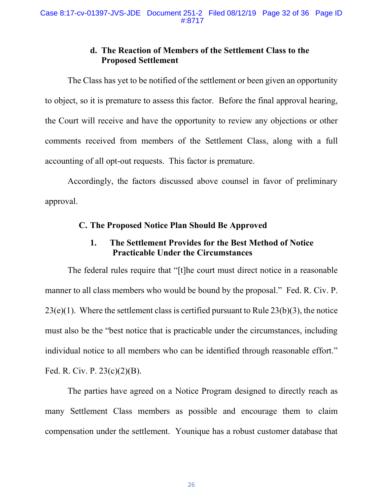# **d. The Reaction of Members of the Settlement Class to the Proposed Settlement**

The Class has yet to be notified of the settlement or been given an opportunity to object, so it is premature to assess this factor. Before the final approval hearing, the Court will receive and have the opportunity to review any objections or other comments received from members of the Settlement Class, along with a full accounting of all opt-out requests. This factor is premature.

Accordingly, the factors discussed above counsel in favor of preliminary approval.

# **C. The Proposed Notice Plan Should Be Approved**

# **1. The Settlement Provides for the Best Method of Notice Practicable Under the Circumstances**

The federal rules require that "[t]he court must direct notice in a reasonable manner to all class members who would be bound by the proposal." Fed. R. Civ. P.  $23(e)(1)$ . Where the settlement class is certified pursuant to Rule  $23(b)(3)$ , the notice must also be the "best notice that is practicable under the circumstances, including individual notice to all members who can be identified through reasonable effort." Fed. R. Civ. P. 23(c)(2)(B).

The parties have agreed on a Notice Program designed to directly reach as many Settlement Class members as possible and encourage them to claim compensation under the settlement. Younique has a robust customer database that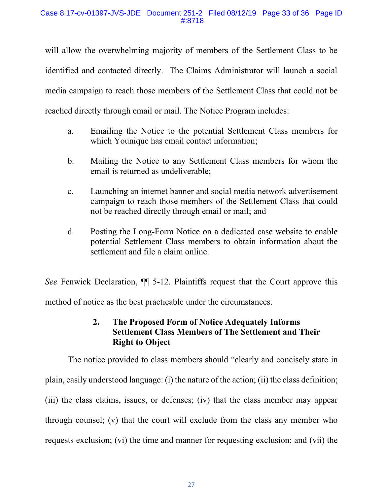will allow the overwhelming majority of members of the Settlement Class to be identified and contacted directly. The Claims Administrator will launch a social media campaign to reach those members of the Settlement Class that could not be reached directly through email or mail. The Notice Program includes:

- a. Emailing the Notice to the potential Settlement Class members for which Younique has email contact information;
- b. Mailing the Notice to any Settlement Class members for whom the email is returned as undeliverable;
- c. Launching an internet banner and social media network advertisement campaign to reach those members of the Settlement Class that could not be reached directly through email or mail; and
- d. Posting the Long-Form Notice on a dedicated case website to enable potential Settlement Class members to obtain information about the settlement and file a claim online.

*See* Fenwick Declaration, ¶¶ 5-12. Plaintiffs request that the Court approve this method of notice as the best practicable under the circumstances.

# **2. The Proposed Form of Notice Adequately Informs Settlement Class Members of The Settlement and Their Right to Object**

The notice provided to class members should "clearly and concisely state in plain, easily understood language: (i) the nature of the action; (ii) the class definition; (iii) the class claims, issues, or defenses; (iv) that the class member may appear through counsel; (v) that the court will exclude from the class any member who requests exclusion; (vi) the time and manner for requesting exclusion; and (vii) the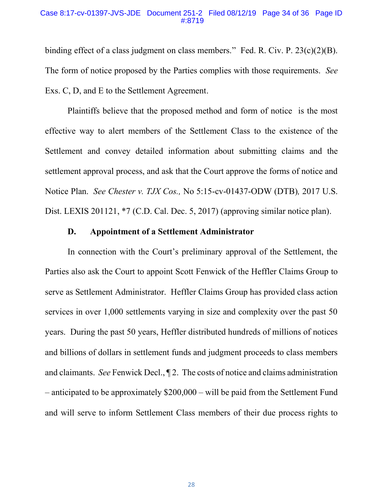### Case 8:17-cv-01397-JVS-JDE Document 251-2 Filed 08/12/19 Page 34 of 36 Page ID #:8719

binding effect of a class judgment on class members." Fed. R. Civ. P. 23(c)(2)(B). The form of notice proposed by the Parties complies with those requirements. *See* Exs. C, D, and E to the Settlement Agreement.

Plaintiffs believe that the proposed method and form of notice is the most effective way to alert members of the Settlement Class to the existence of the Settlement and convey detailed information about submitting claims and the settlement approval process, and ask that the Court approve the forms of notice and Notice Plan. *See Chester v. TJX Cos.,* No 5:15-cv-01437-ODW (DTB)*,* 2017 U.S. Dist. LEXIS 201121, \*7 (C.D. Cal. Dec. 5, 2017) (approving similar notice plan).

# <span id="page-36-0"></span>**D. Appointment of a Settlement Administrator**

In connection with the Court's preliminary approval of the Settlement, the Parties also ask the Court to appoint Scott Fenwick of the Heffler Claims Group to serve as Settlement Administrator. Heffler Claims Group has provided class action services in over 1,000 settlements varying in size and complexity over the past 50 years. During the past 50 years, Heffler distributed hundreds of millions of notices and billions of dollars in settlement funds and judgment proceeds to class members and claimants. *See* Fenwick Decl., ¶ 2. The costs of notice and claims administration – anticipated to be approximately \$200,000 – will be paid from the Settlement Fund and will serve to inform Settlement Class members of their due process rights to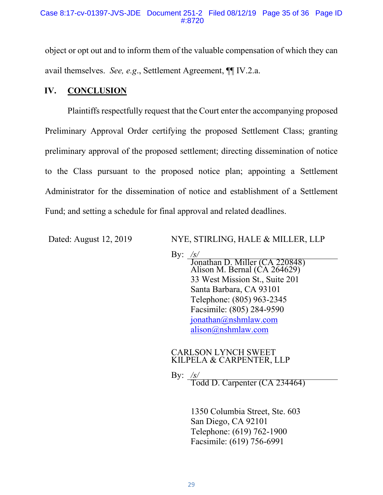object or opt out and to inform them of the valuable compensation of which they can avail themselves. *See, e.g*., Settlement Agreement, ¶¶ IV.2.a.

# **IV. CONCLUSION**

Plaintiffs respectfully request that the Court enter the accompanying proposed Preliminary Approval Order certifying the proposed Settlement Class; granting preliminary approval of the proposed settlement; directing dissemination of notice to the Class pursuant to the proposed notice plan; appointing a Settlement Administrator for the dissemination of notice and establishment of a Settlement Fund; and setting a schedule for final approval and related deadlines.

Dated: August 12, 2019 NYE, STIRLING, HALE & MILLER, LLP

By: <u>/s/</u><br>Jonathan D. Miller (CA 220848) Alison M. Bernal (CA 264629) 33 West Mission St., Suite 201 Santa Barbara, CA 93101 Telephone: (805) 963-2345 Facsimile: (805) 284-9590 [jonathan@nshmlaw.com](mailto:jonathan@nshmlaw.com) [alison@nshmlaw.com](mailto:alison@nshmlaw.com)

### CARLSON LYNCH SWEET KILPELA & CARPENTER, LLP

By: */s/*

Todd D. Carpenter (CA 234464)

1350 Columbia Street, Ste. 603 San Diego, CA 92101 Telephone: (619) 762-1900 Facsimile: (619) 756-6991